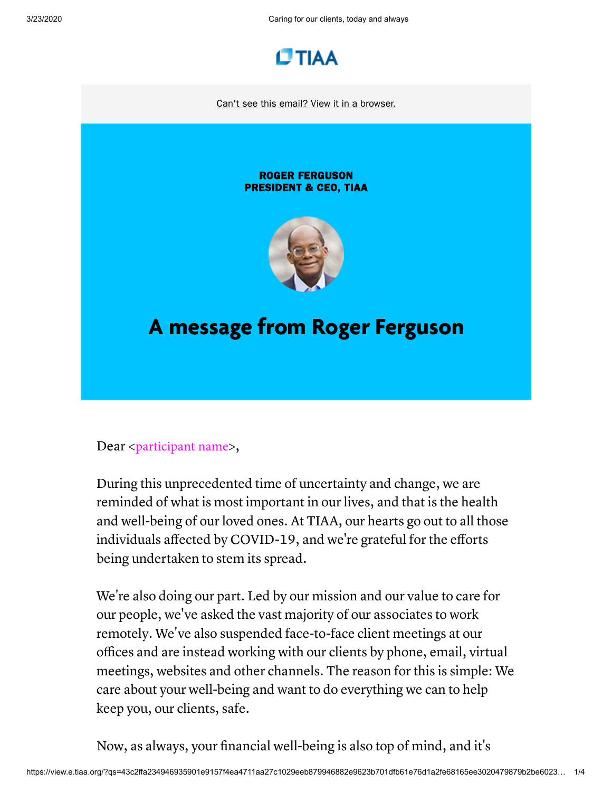3/23/2020 Caring for our clients, today and always



[Can't see this email? View it in a browser.](https://view.e.tiaa.org/?qs=43c2ffa234946935901e9157f4ea4711aa27c1029eeb879946882e9623b701dfb61e76d1a2fe68165ee3020479879b2be6023401c3aa670306dfdb1ba223f17b5e0502993652faa5f0774010e412cacc)

## ROGER FERGUSON PRESIDENT & CEO, TIAA



## A message from Roger Ferguson

Dear <participant name>,

During this unprecedented time of uncertainty and change, we are reminded of what is most important in our lives, and that is the health and well-being of our loved ones. At TIAA, our hearts go out to all those individuals affected by COVID-19, and we're grateful for the efforts being undertaken to stem its spread.

We're also doing our part. Led by our mission and our value to care for our people, we've asked the vast majority of our associates to work remotely. We've also suspended face-to-face client meetings at our offices and are instead working with our clients by phone, email, virtual meetings, websites and other channels. The reason for this is simple: We care about your well-being and want to do everything we can to help keep you, our clients, safe.

Now, as always, your financial well-being is also top of mind, and it's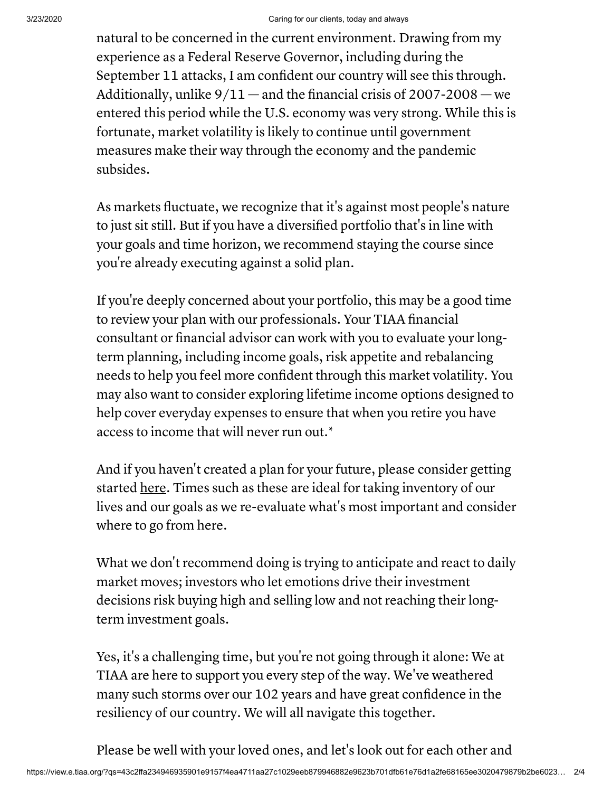natural to be concerned in the current environment. Drawing from my experience as a Federal Reserve Governor, including during the September 11 attacks, I am confident our country will see this through. Additionally, unlike  $9/11$  — and the financial crisis of 2007-2008 — we entered this period while the U.S. economy was very strong. While this is fortunate, market volatility is likely to continue until government measures make their way through the economy and the pandemic subsides.

As markets fluctuate, we recognize that it's against most people's nature to just sit still. But if you have a diversified portfolio that's in line with your goals and time horizon, we recommend staying the course since you're already executing against a solid plan.

If you're deeply concerned about your portfolio, this may be a good time to review your plan with our professionals. Your TIAA financial consultant or financial advisor can work with you to evaluate your longterm planning, including income goals, risk appetite and rebalancing needs to help you feel more confident through this market volatility. You may also want to consider exploring lifetime income options designed to help cover everyday expenses to ensure that when you retire you have access to income that will never run out.\*

And if you haven't created a plan for your future, please consider getting started <u>[here](https://click.e.tiaa.org/?qs=9b6ad8b45d9ff075de8b00e34fd9a73b30a72671e779c39b0e1d1df22adcc9c8cd11872873db3c61904e297bdf367fae511e9f7a602225aa)</u>. Times such as these are ideal for taking inventory of our lives and our goals as we re-evaluate what's most important and consider where to go from here.

What we don't recommend doing is trying to anticipate and react to daily market moves; investors who let emotions drive their investment decisions risk buying high and selling low and not reaching their longterm investment goals.

Yes, it's a challenging time, but you're not going through it alone: We at TIAA are here to support you every step of the way. We've weathered many such storms over our 102 years and have great confidence in the resiliency of our country. We will all navigate this together.

Please be well with your loved ones, and let's look out for each other and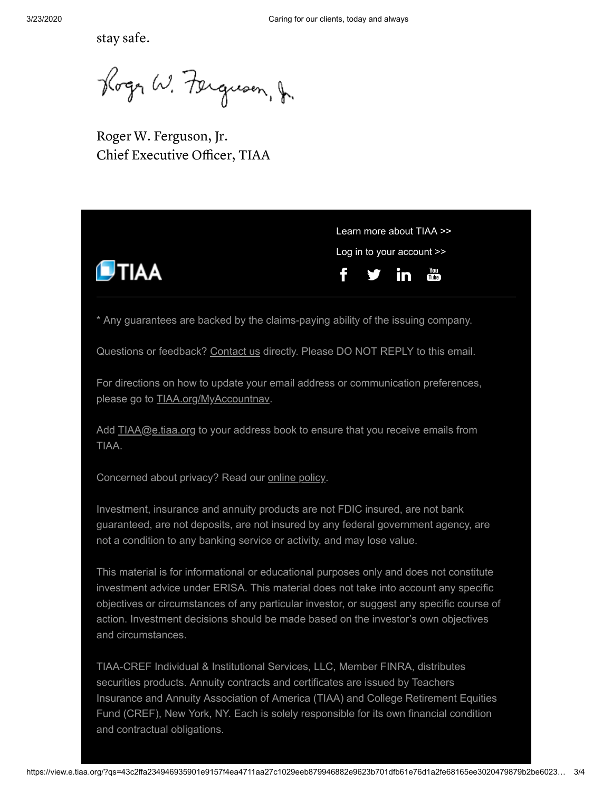stay safe.

Roger W. Ferguson, J.

Roger W. Ferguson, Jr. Chief Executive Officer, TIAA



Investment, insurance and annuity products are not FDIC insured, are not bank guaranteed, are not deposits, are not insured by any federal government agency, are not a condition to any banking service or activity, and may lose value.

This material is for informational or educational purposes only and does not constitute investment advice under ERISA. This material does not take into account any specific objectives or circumstances of any particular investor, or suggest any specific course of action. Investment decisions should be made based on the investor's own objectives and circumstances.

TIAA-CREF Individual & Institutional Services, LLC, Member FINRA, distributes securities products. Annuity contracts and certificates are issued by Teachers Insurance and Annuity Association of America (TIAA) and College Retirement Equities Fund (CREF), New York, NY. Each is solely responsible for its own financial condition and contractual obligations.